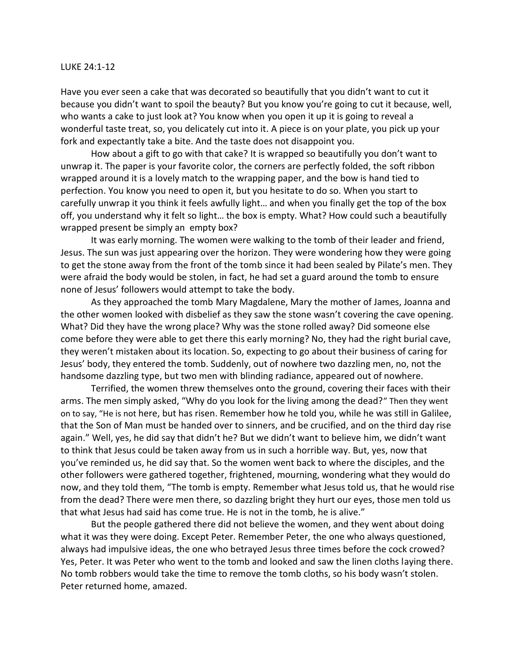## LUKE 24:1-12

Have you ever seen a cake that was decorated so beautifully that you didn't want to cut it because you didn't want to spoil the beauty? But you know you're going to cut it because, well, who wants a cake to just look at? You know when you open it up it is going to reveal a wonderful taste treat, so, you delicately cut into it. A piece is on your plate, you pick up your fork and expectantly take a bite. And the taste does not disappoint you.

How about a gift to go with that cake? It is wrapped so beautifully you don't want to unwrap it. The paper is your favorite color, the corners are perfectly folded, the soft ribbon wrapped around it is a lovely match to the wrapping paper, and the bow is hand tied to perfection. You know you need to open it, but you hesitate to do so. When you start to carefully unwrap it you think it feels awfully light… and when you finally get the top of the box off, you understand why it felt so light… the box is empty. What? How could such a beautifully wrapped present be simply an empty box?

It was early morning. The women were walking to the tomb of their leader and friend, Jesus. The sun was just appearing over the horizon. They were wondering how they were going to get the stone away from the front of the tomb since it had been sealed by Pilate's men. They were afraid the body would be stolen, in fact, he had set a guard around the tomb to ensure none of Jesus' followers would attempt to take the body.

As they approached the tomb Mary Magdalene, Mary the mother of James, Joanna and the other women looked with disbelief as they saw the stone wasn't covering the cave opening. What? Did they have the wrong place? Why was the stone rolled away? Did someone else come before they were able to get there this early morning? No, they had the right burial cave, they weren't mistaken about its location. So, expecting to go about their business of caring for Jesus' body, they entered the tomb. Suddenly, out of nowhere two dazzling men, no, not the handsome dazzling type, but two men with blinding radiance, appeared out of nowhere.

Terrified, the women threw themselves onto the ground, covering their faces with their arms. The men simply asked, "Why do you look for the living among the dead?" Then they went on to say, "He is not here, but has risen. Remember how he told you, while he was still in Galilee, that the Son of Man must be handed over to sinners, and be crucified, and on the third day rise again." Well, yes, he did say that didn't he? But we didn't want to believe him, we didn't want to think that Jesus could be taken away from us in such a horrible way. But, yes, now that you've reminded us, he did say that. So the women went back to where the disciples, and the other followers were gathered together, frightened, mourning, wondering what they would do now, and they told them, "The tomb is empty. Remember what Jesus told us, that he would rise from the dead? There were men there, so dazzling bright they hurt our eyes, those men told us that what Jesus had said has come true. He is not in the tomb, he is alive."

But the people gathered there did not believe the women, and they went about doing what it was they were doing. Except Peter. Remember Peter, the one who always questioned, always had impulsive ideas, the one who betrayed Jesus three times before the cock crowed? Yes, Peter. It was Peter who went to the tomb and looked and saw the linen cloths laying there. No tomb robbers would take the time to remove the tomb cloths, so his body wasn't stolen. Peter returned home, amazed.